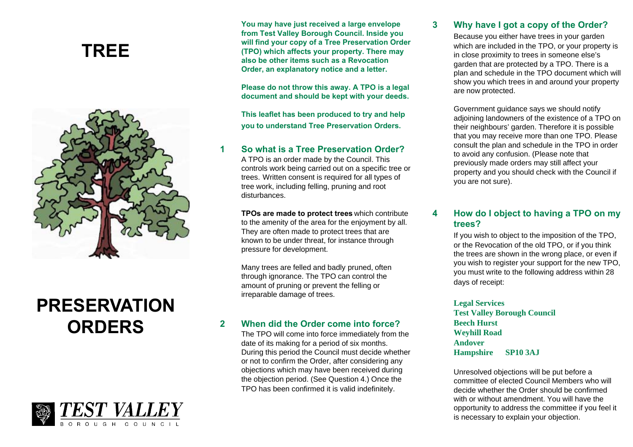## **TREE**



# **PRESERVATION ORDERS**



**You may have just received a large envelope from Test Valley Borough Council. Inside you will find your copy of a Tree Preservation Order (TPO) which affects your property. There may also be other items such as a Revocation Order, an explanatory notice and a letter.**

**Please do not throw this away. A TPO is a legal document and should be kept with your deeds.**

**This leaflet has been produced to try and help you to understand Tree Preservation Orders.**

#### **1 So what is a Tree Preservation Order?**

A TPO is an order made by the Council. This controls work being carried out on a specific tree or trees. Written consent is required for all types of tree work, including felling, pruning and root disturbances.

**TPOs are made to protect trees** which contribute to the amenity of the area for the enjoyment by all. They are often made to protect trees that are known to be under threat, for instance through pressure for development.

Many trees are felled and badly pruned, often through ignorance. The TPO can control the amount of pruning or prevent the felling or irreparable damage of trees.

#### **2 When did the Order come into force?**

The TPO will come into force immediately from the date of its making for a period of six months. During this period the Council must decide whether or not to confirm the Order, after considering any objections which may have been received during the objection period. (See Question 4.) Once the TPO has been confirmed it is valid indefinitely.

#### **3 Why have I got a copy of the Order?**

Because you either have trees in your garden which are included in the TPO, or your property is in close proximity to trees in someone else's garden that are protected by a TPO. There is a plan and schedule in the TPO document which will show you which trees in and around your property are now protected.

Government guidance says we should notify adjoining landowners of the existence of a TPO on their neighbours' garden. Therefore it is possible that you may receive more than one TPO. Please consult the plan and schedule in the TPO in order to avoid any confusion. (Please note that previously made orders may still affect your property and you should check with the Council if you are not sure).

### **4 How do I object to having a TPO on my trees?**

If you wish to object to the imposition of the TPO, or the Revocation of the old TPO, or if you think the trees are shown in the wrong place, or even if you wish to register your support for the new TPO, you must write to the following address within 28 days of receipt:

#### **Legal Services**

**Test Valley Borough Council Beech Hurst Weyhill Road Andover Hampshire SP10 3AJ**

Unresolved objections will be put before a committee of elected Council Members who will decide whether the Order should be confirmed with or without amendment. You will have the opportunity to address the committee if you feel it is necessary to explain your objection.